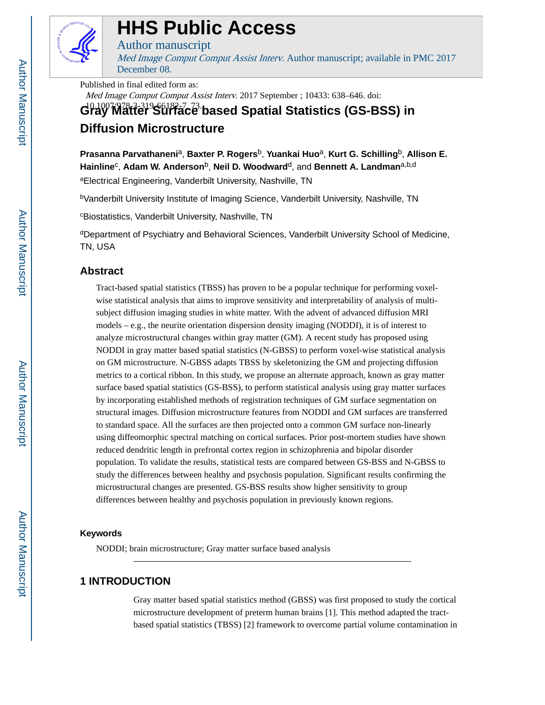

# **HHS Public Access**

Author manuscript

Med Image Comput Comput Assist Interv. Author manuscript; available in PMC 2017 December 08.

Published in final edited form as:

Med Image Comput Comput Assist Interv. 2017 September ; 10433: 638–646. doi:

G<sup>p</sup>l0<sup>07</sup>Matier<sup>9</sup>Surface based Spatial Statistics (GS-BSS) in **Diffusion Microstructure**

**Prasanna Parvathaneni**a, **Baxter P. Rogers**b, **Yuankai Huo**a, **Kurt G. Schilling**b, **Allison E. Hainline**<sup>c</sup> , **Adam W. Anderson**b, **Neil D. Woodward**d, and **Bennett A. Landman**a,b,d

aElectrical Engineering, Vanderbilt University, Nashville, TN

<sup>b</sup>Vanderbilt University Institute of Imaging Science, Vanderbilt University, Nashville, TN

<sup>c</sup>Biostatistics, Vanderbilt University, Nashville, TN

<sup>d</sup>Department of Psychiatry and Behavioral Sciences, Vanderbilt University School of Medicine, TN, USA

# **Abstract**

Tract-based spatial statistics (TBSS) has proven to be a popular technique for performing voxelwise statistical analysis that aims to improve sensitivity and interpretability of analysis of multisubject diffusion imaging studies in white matter. With the advent of advanced diffusion MRI models – e.g., the neurite orientation dispersion density imaging (NODDI), it is of interest to analyze microstructural changes within gray matter (GM). A recent study has proposed using NODDI in gray matter based spatial statistics (N-GBSS) to perform voxel-wise statistical analysis on GM microstructure. N-GBSS adapts TBSS by skeletonizing the GM and projecting diffusion metrics to a cortical ribbon. In this study, we propose an alternate approach, known as gray matter surface based spatial statistics (GS-BSS), to perform statistical analysis using gray matter surfaces by incorporating established methods of registration techniques of GM surface segmentation on structural images. Diffusion microstructure features from NODDI and GM surfaces are transferred to standard space. All the surfaces are then projected onto a common GM surface non-linearly using diffeomorphic spectral matching on cortical surfaces. Prior post-mortem studies have shown reduced dendritic length in prefrontal cortex region in schizophrenia and bipolar disorder population. To validate the results, statistical tests are compared between GS-BSS and N-GBSS to study the differences between healthy and psychosis population. Significant results confirming the microstructural changes are presented. GS-BSS results show higher sensitivity to group differences between healthy and psychosis population in previously known regions.

# **Keywords**

NODDI; brain microstructure; Gray matter surface based analysis

# **1 INTRODUCTION**

Gray matter based spatial statistics method (GBSS) was first proposed to study the cortical microstructure development of preterm human brains [1]. This method adapted the tractbased spatial statistics (TBSS) [2] framework to overcome partial volume contamination in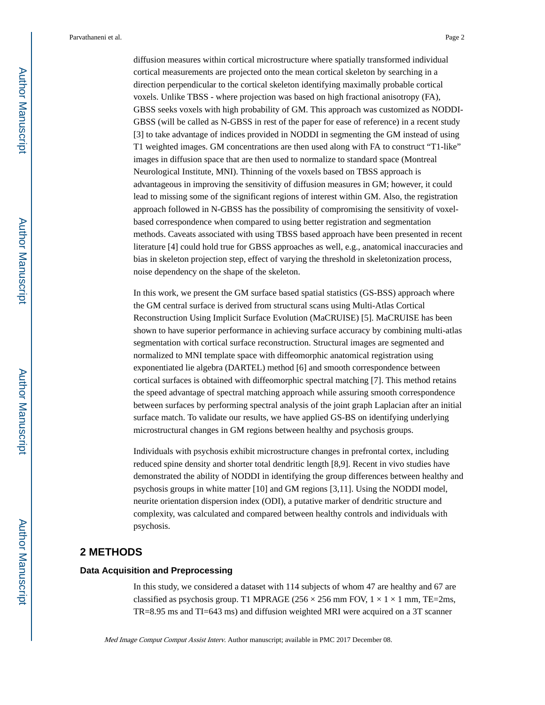diffusion measures within cortical microstructure where spatially transformed individual cortical measurements are projected onto the mean cortical skeleton by searching in a direction perpendicular to the cortical skeleton identifying maximally probable cortical voxels. Unlike TBSS - where projection was based on high fractional anisotropy (FA), GBSS seeks voxels with high probability of GM. This approach was customized as NODDI-GBSS (will be called as N-GBSS in rest of the paper for ease of reference) in a recent study [3] to take advantage of indices provided in NODDI in segmenting the GM instead of using T1 weighted images. GM concentrations are then used along with FA to construct "T1-like" images in diffusion space that are then used to normalize to standard space (Montreal Neurological Institute, MNI). Thinning of the voxels based on TBSS approach is advantageous in improving the sensitivity of diffusion measures in GM; however, it could lead to missing some of the significant regions of interest within GM. Also, the registration approach followed in N-GBSS has the possibility of compromising the sensitivity of voxelbased correspondence when compared to using better registration and segmentation methods. Caveats associated with using TBSS based approach have been presented in recent literature [4] could hold true for GBSS approaches as well, e.g., anatomical inaccuracies and bias in skeleton projection step, effect of varying the threshold in skeletonization process, noise dependency on the shape of the skeleton.

In this work, we present the GM surface based spatial statistics (GS-BSS) approach where the GM central surface is derived from structural scans using Multi-Atlas Cortical Reconstruction Using Implicit Surface Evolution (MaCRUISE) [5]. MaCRUISE has been shown to have superior performance in achieving surface accuracy by combining multi-atlas segmentation with cortical surface reconstruction. Structural images are segmented and normalized to MNI template space with diffeomorphic anatomical registration using exponentiated lie algebra (DARTEL) method [6] and smooth correspondence between cortical surfaces is obtained with diffeomorphic spectral matching [7]. This method retains the speed advantage of spectral matching approach while assuring smooth correspondence between surfaces by performing spectral analysis of the joint graph Laplacian after an initial surface match. To validate our results, we have applied GS-BS on identifying underlying microstructural changes in GM regions between healthy and psychosis groups.

Individuals with psychosis exhibit microstructure changes in prefrontal cortex, including reduced spine density and shorter total dendritic length [8,9]. Recent in vivo studies have demonstrated the ability of NODDI in identifying the group differences between healthy and psychosis groups in white matter [10] and GM regions [3,11]. Using the NODDI model, neurite orientation dispersion index (ODI), a putative marker of dendritic structure and complexity, was calculated and compared between healthy controls and individuals with psychosis.

# **2 METHODS**

#### **Data Acquisition and Preprocessing**

In this study, we considered a dataset with 114 subjects of whom 47 are healthy and 67 are classified as psychosis group. T1 MPRAGE (256  $\times$  256 mm FOV,  $1 \times 1 \times 1$  mm, TE=2ms, TR=8.95 ms and TI=643 ms) and diffusion weighted MRI were acquired on a 3T scanner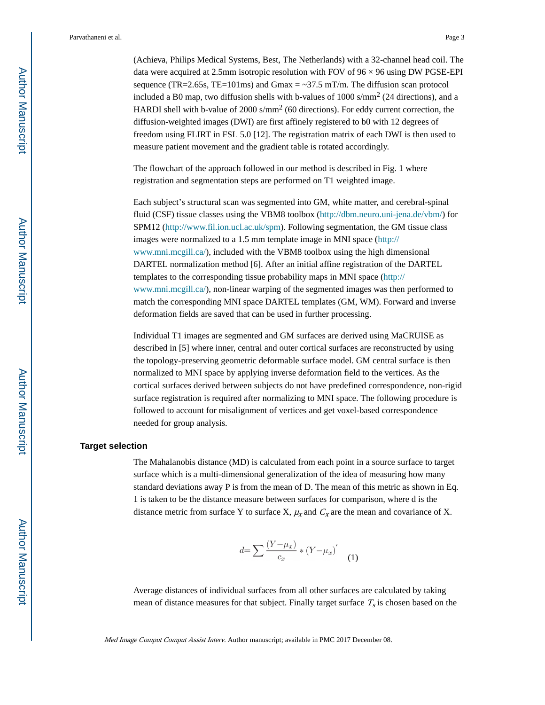(Achieva, Philips Medical Systems, Best, The Netherlands) with a 32-channel head coil. The data were acquired at 2.5mm isotropic resolution with FOV of  $96 \times 96$  using DW PGSE-EPI sequence (TR=2.65s, TE=101ms) and Gmax =  $\sim$ 37.5 mT/m. The diffusion scan protocol included a B0 map, two diffusion shells with b-values of  $1000 \text{ s/mm}^2$  (24 directions), and a HARDI shell with b-value of 2000 s/mm<sup>2</sup> (60 directions). For eddy current correction, the diffusion-weighted images (DWI) are first affinely registered to b0 with 12 degrees of freedom using FLIRT in FSL 5.0 [12]. The registration matrix of each DWI is then used to measure patient movement and the gradient table is rotated accordingly.

The flowchart of the approach followed in our method is described in Fig. 1 where registration and segmentation steps are performed on T1 weighted image.

Each subject's structural scan was segmented into GM, white matter, and cerebral-spinal fluid (CSF) tissue classes using the VBM8 toolbox [\(http://dbm.neuro.uni-jena.de/vbm/\)](http://dbm.neuro.uni-jena.de/vbm/) for SPM12 (<http://www.fil.ion.ucl.ac.uk/spm>). Following segmentation, the GM tissue class images were normalized to a 1.5 mm template image in MNI space ([http://](http://www.mni.mcgill.ca/) [www.mni.mcgill.ca/](http://www.mni.mcgill.ca/)), included with the VBM8 toolbox using the high dimensional DARTEL normalization method [6]. After an initial affine registration of the DARTEL templates to the corresponding tissue probability maps in MNI space [\(http://](http://www.mni.mcgill.ca/) [www.mni.mcgill.ca/](http://www.mni.mcgill.ca/)), non-linear warping of the segmented images was then performed to match the corresponding MNI space DARTEL templates (GM, WM). Forward and inverse deformation fields are saved that can be used in further processing.

Individual T1 images are segmented and GM surfaces are derived using MaCRUISE as described in [5] where inner, central and outer cortical surfaces are reconstructed by using the topology-preserving geometric deformable surface model. GM central surface is then normalized to MNI space by applying inverse deformation field to the vertices. As the cortical surfaces derived between subjects do not have predefined correspondence, non-rigid surface registration is required after normalizing to MNI space. The following procedure is followed to account for misalignment of vertices and get voxel-based correspondence needed for group analysis.

#### **Target selection**

The Mahalanobis distance (MD) is calculated from each point in a source surface to target surface which is a multi-dimensional generalization of the idea of measuring how many standard deviations away P is from the mean of D. The mean of this metric as shown in Eq. 1 is taken to be the distance measure between surfaces for comparison, where d is the distance metric from surface Y to surface X,  $\mu_X$  and  $C_X$  are the mean and covariance of X.

$$
d = \sum \frac{(Y - \mu_x)}{c_x} * (Y - \mu_x)'
$$
 (1)

Average distances of individual surfaces from all other surfaces are calculated by taking mean of distance measures for that subject. Finally target surface  $T_s$  is chosen based on the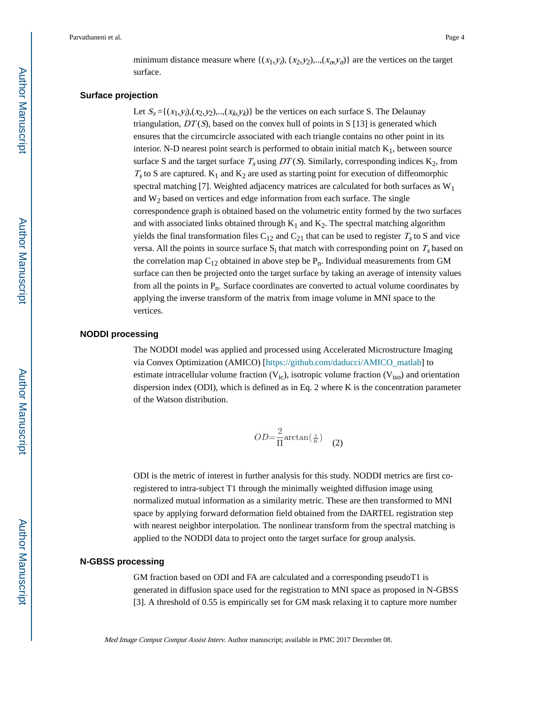minimum distance measure where  $\{(x_1,y_i), (x_2,y_2), \dots, (x_n,y_n)\}\$  are the vertices on the target surface.

#### **Surface projection**

Let  $S_s = \{(x_1, y_i), (x_2, y_2), ..., (x_k, y_k)\}\$  be the vertices on each surface S. The Delaunay triangulation,  $DT(S)$ , based on the convex hull of points in S [13] is generated which ensures that the circumcircle associated with each triangle contains no other point in its interior. N-D nearest point search is performed to obtain initial match  $K_1$ , between source surface S and the target surface  $T_s$  using  $DT(S)$ . Similarly, corresponding indices  $K_2$ , from  $T<sub>s</sub>$  to S are captured.  $K<sub>1</sub>$  and  $K<sub>2</sub>$  are used as starting point for execution of diffeomorphic spectral matching [7]. Weighted adjacency matrices are calculated for both surfaces as  $W_1$ and  $W_2$  based on vertices and edge information from each surface. The single correspondence graph is obtained based on the volumetric entity formed by the two surfaces and with associated links obtained through  $K_1$  and  $K_2$ . The spectral matching algorithm yields the final transformation files  $C_{12}$  and  $C_{21}$  that can be used to register  $T_s$  to S and vice versa. All the points in source surface  $S_i$  that match with corresponding point on  $T_s$  based on the correlation map  $C_{12}$  obtained in above step be  $P_n$ . Individual measurements from GM surface can then be projected onto the target surface by taking an average of intensity values from all the points in  $P_n$ . Surface coordinates are converted to actual volume coordinates by applying the inverse transform of the matrix from image volume in MNI space to the vertices.

#### **NODDI processing**

The NODDI model was applied and processed using Accelerated Microstructure Imaging via Convex Optimization (AMICO) [[https://github.com/daducci/AMICO\\_matlab\]](https://github.com/daducci/AMICO_matlab) to estimate intracellular volume fraction  $(V_{ic})$ , isotropic volume fraction  $(V_{iso})$  and orientation dispersion index (ODI), which is defined as in Eq. 2 where K is the concentration parameter of the Watson distribution.

$$
OD = \frac{2}{\Pi} \arctan\left(\frac{1}{K}\right) \quad (2)
$$

ODI is the metric of interest in further analysis for this study. NODDI metrics are first coregistered to intra-subject T1 through the minimally weighted diffusion image using normalized mutual information as a similarity metric. These are then transformed to MNI space by applying forward deformation field obtained from the DARTEL registration step with nearest neighbor interpolation. The nonlinear transform from the spectral matching is applied to the NODDI data to project onto the target surface for group analysis.

#### **N-GBSS processing**

GM fraction based on ODI and FA are calculated and a corresponding pseudoT1 is generated in diffusion space used for the registration to MNI space as proposed in N-GBSS [3]. A threshold of 0.55 is empirically set for GM mask relaxing it to capture more number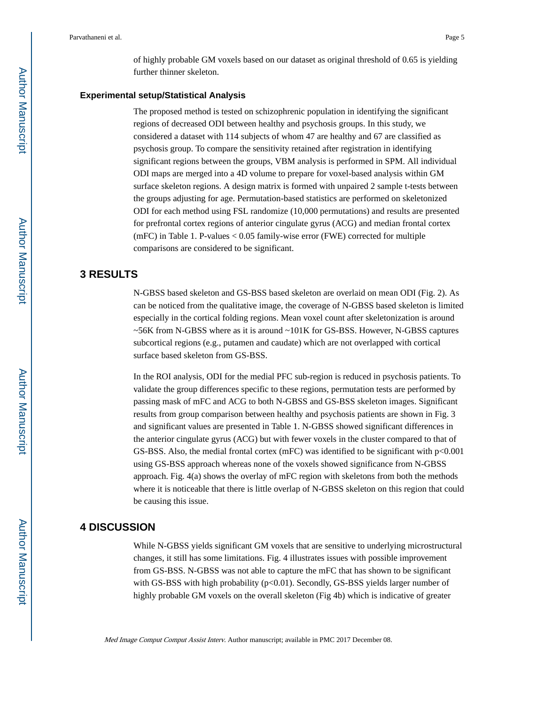of highly probable GM voxels based on our dataset as original threshold of 0.65 is yielding further thinner skeleton.

#### **Experimental setup/Statistical Analysis**

The proposed method is tested on schizophrenic population in identifying the significant regions of decreased ODI between healthy and psychosis groups. In this study, we considered a dataset with 114 subjects of whom 47 are healthy and 67 are classified as psychosis group. To compare the sensitivity retained after registration in identifying significant regions between the groups, VBM analysis is performed in SPM. All individual ODI maps are merged into a 4D volume to prepare for voxel-based analysis within GM surface skeleton regions. A design matrix is formed with unpaired 2 sample t-tests between the groups adjusting for age. Permutation-based statistics are performed on skeletonized ODI for each method using FSL randomize (10,000 permutations) and results are presented for prefrontal cortex regions of anterior cingulate gyrus (ACG) and median frontal cortex (mFC) in Table 1. P-values  $< 0.05$  family-wise error (FWE) corrected for multiple comparisons are considered to be significant.

# **3 RESULTS**

N-GBSS based skeleton and GS-BSS based skeleton are overlaid on mean ODI (Fig. 2). As can be noticed from the qualitative image, the coverage of N-GBSS based skeleton is limited especially in the cortical folding regions. Mean voxel count after skeletonization is around  $\sim$  56K from N-GBSS where as it is around  $\sim$  101K for GS-BSS. However, N-GBSS captures subcortical regions (e.g., putamen and caudate) which are not overlapped with cortical surface based skeleton from GS-BSS.

In the ROI analysis, ODI for the medial PFC sub-region is reduced in psychosis patients. To validate the group differences specific to these regions, permutation tests are performed by passing mask of mFC and ACG to both N-GBSS and GS-BSS skeleton images. Significant results from group comparison between healthy and psychosis patients are shown in Fig. 3 and significant values are presented in Table 1. N-GBSS showed significant differences in the anterior cingulate gyrus (ACG) but with fewer voxels in the cluster compared to that of GS-BSS. Also, the medial frontal cortex (mFC) was identified to be significant with  $p<0.001$ using GS-BSS approach whereas none of the voxels showed significance from N-GBSS approach. Fig. 4(a) shows the overlay of mFC region with skeletons from both the methods where it is noticeable that there is little overlap of N-GBSS skeleton on this region that could be causing this issue.

#### **4 DISCUSSION**

While N-GBSS yields significant GM voxels that are sensitive to underlying microstructural changes, it still has some limitations. Fig. 4 illustrates issues with possible improvement from GS-BSS. N-GBSS was not able to capture the mFC that has shown to be significant with GS-BSS with high probability (p<0.01). Secondly, GS-BSS yields larger number of highly probable GM voxels on the overall skeleton (Fig 4b) which is indicative of greater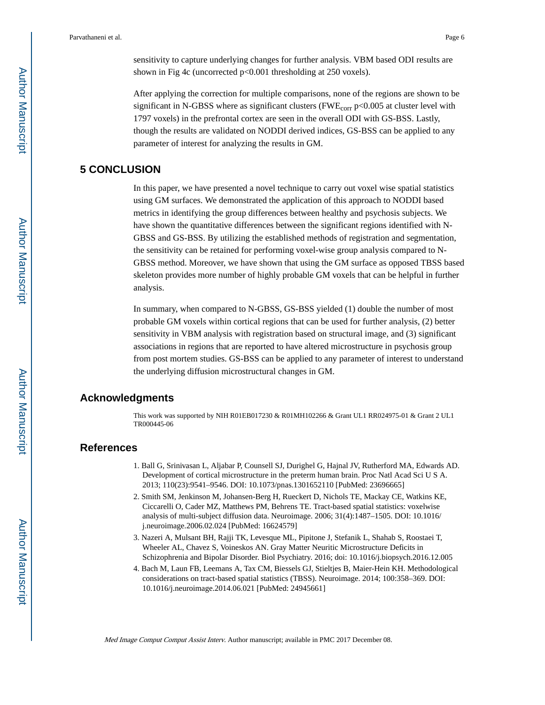sensitivity to capture underlying changes for further analysis. VBM based ODI results are shown in Fig 4c (uncorrected p<0.001 thresholding at 250 voxels).

After applying the correction for multiple comparisons, none of the regions are shown to be significant in N-GBSS where as significant clusters (FWE<sub>corr</sub> p<0.005 at cluster level with 1797 voxels) in the prefrontal cortex are seen in the overall ODI with GS-BSS. Lastly, though the results are validated on NODDI derived indices, GS-BSS can be applied to any parameter of interest for analyzing the results in GM.

# **5 CONCLUSION**

In this paper, we have presented a novel technique to carry out voxel wise spatial statistics using GM surfaces. We demonstrated the application of this approach to NODDI based metrics in identifying the group differences between healthy and psychosis subjects. We have shown the quantitative differences between the significant regions identified with N-GBSS and GS-BSS. By utilizing the established methods of registration and segmentation, the sensitivity can be retained for performing voxel-wise group analysis compared to N-GBSS method. Moreover, we have shown that using the GM surface as opposed TBSS based skeleton provides more number of highly probable GM voxels that can be helpful in further analysis.

In summary, when compared to N-GBSS, GS-BSS yielded (1) double the number of most probable GM voxels within cortical regions that can be used for further analysis, (2) better sensitivity in VBM analysis with registration based on structural image, and (3) significant associations in regions that are reported to have altered microstructure in psychosis group from post mortem studies. GS-BSS can be applied to any parameter of interest to understand the underlying diffusion microstructural changes in GM.

# **Acknowledgments**

This work was supported by NIH R01EB017230 & R01MH102266 & Grant UL1 RR024975-01 & Grant 2 UL1 TR000445-06

# **References**

- 1. Ball G, Srinivasan L, Aljabar P, Counsell SJ, Durighel G, Hajnal JV, Rutherford MA, Edwards AD. Development of cortical microstructure in the preterm human brain. Proc Natl Acad Sci U S A. 2013; 110(23):9541–9546. DOI: 10.1073/pnas.1301652110 [PubMed: 23696665]
- 2. Smith SM, Jenkinson M, Johansen-Berg H, Rueckert D, Nichols TE, Mackay CE, Watkins KE, Ciccarelli O, Cader MZ, Matthews PM, Behrens TE. Tract-based spatial statistics: voxelwise analysis of multi-subject diffusion data. Neuroimage. 2006; 31(4):1487–1505. DOI: 10.1016/ j.neuroimage.2006.02.024 [PubMed: 16624579]
- 3. Nazeri A, Mulsant BH, Rajji TK, Levesque ML, Pipitone J, Stefanik L, Shahab S, Roostaei T, Wheeler AL, Chavez S, Voineskos AN. Gray Matter Neuritic Microstructure Deficits in Schizophrenia and Bipolar Disorder. Biol Psychiatry. 2016; doi: 10.1016/j.biopsych.2016.12.005
- 4. Bach M, Laun FB, Leemans A, Tax CM, Biessels GJ, Stieltjes B, Maier-Hein KH. Methodological considerations on tract-based spatial statistics (TBSS). Neuroimage. 2014; 100:358–369. DOI: 10.1016/j.neuroimage.2014.06.021 [PubMed: 24945661]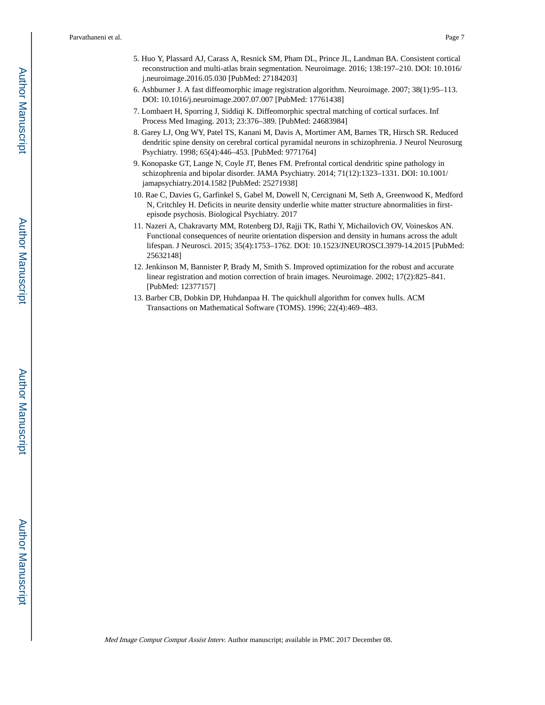- 5. Huo Y, Plassard AJ, Carass A, Resnick SM, Pham DL, Prince JL, Landman BA. Consistent cortical reconstruction and multi-atlas brain segmentation. Neuroimage. 2016; 138:197–210. DOI: 10.1016/ j.neuroimage.2016.05.030 [PubMed: 27184203]
- 6. Ashburner J. A fast diffeomorphic image registration algorithm. Neuroimage. 2007; 38(1):95–113. DOI: 10.1016/j.neuroimage.2007.07.007 [PubMed: 17761438]
- 7. Lombaert H, Sporring J, Siddiqi K. Diffeomorphic spectral matching of cortical surfaces. Inf Process Med Imaging. 2013; 23:376–389. [PubMed: 24683984]
- 8. Garey LJ, Ong WY, Patel TS, Kanani M, Davis A, Mortimer AM, Barnes TR, Hirsch SR. Reduced dendritic spine density on cerebral cortical pyramidal neurons in schizophrenia. J Neurol Neurosurg Psychiatry. 1998; 65(4):446–453. [PubMed: 9771764]
- 9. Konopaske GT, Lange N, Coyle JT, Benes FM. Prefrontal cortical dendritic spine pathology in schizophrenia and bipolar disorder. JAMA Psychiatry. 2014; 71(12):1323–1331. DOI: 10.1001/ jamapsychiatry.2014.1582 [PubMed: 25271938]
- 10. Rae C, Davies G, Garfinkel S, Gabel M, Dowell N, Cercignani M, Seth A, Greenwood K, Medford N, Critchley H. Deficits in neurite density underlie white matter structure abnormalities in firstepisode psychosis. Biological Psychiatry. 2017
- 11. Nazeri A, Chakravarty MM, Rotenberg DJ, Rajji TK, Rathi Y, Michailovich OV, Voineskos AN. Functional consequences of neurite orientation dispersion and density in humans across the adult lifespan. J Neurosci. 2015; 35(4):1753–1762. DOI: 10.1523/JNEUROSCI.3979-14.2015 [PubMed: 25632148]
- 12. Jenkinson M, Bannister P, Brady M, Smith S. Improved optimization for the robust and accurate linear registration and motion correction of brain images. Neuroimage. 2002; 17(2):825–841. [PubMed: 12377157]
- 13. Barber CB, Dobkin DP, Huhdanpaa H. The quickhull algorithm for convex hulls. ACM Transactions on Mathematical Software (TOMS). 1996; 22(4):469–483.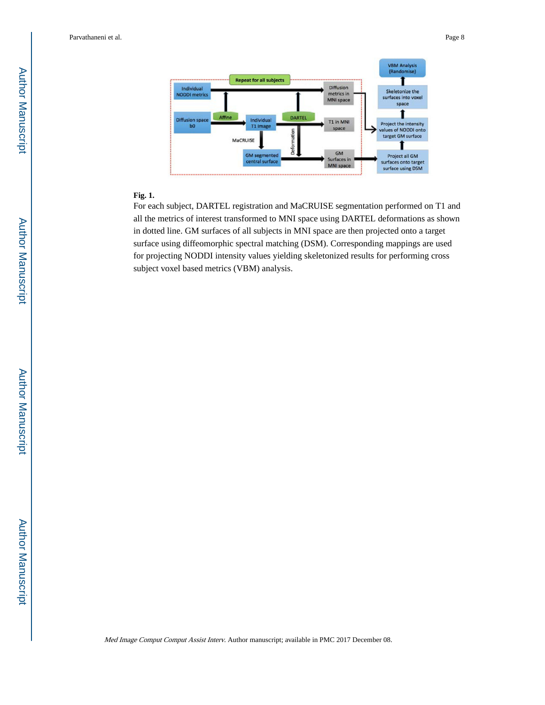

#### **Fig. 1.**

For each subject, DARTEL registration and MaCRUISE segmentation performed on T1 and all the metrics of interest transformed to MNI space using DARTEL deformations as shown in dotted line. GM surfaces of all subjects in MNI space are then projected onto a target surface using diffeomorphic spectral matching (DSM). Corresponding mappings are used for projecting NODDI intensity values yielding skeletonized results for performing cross subject voxel based metrics (VBM) analysis.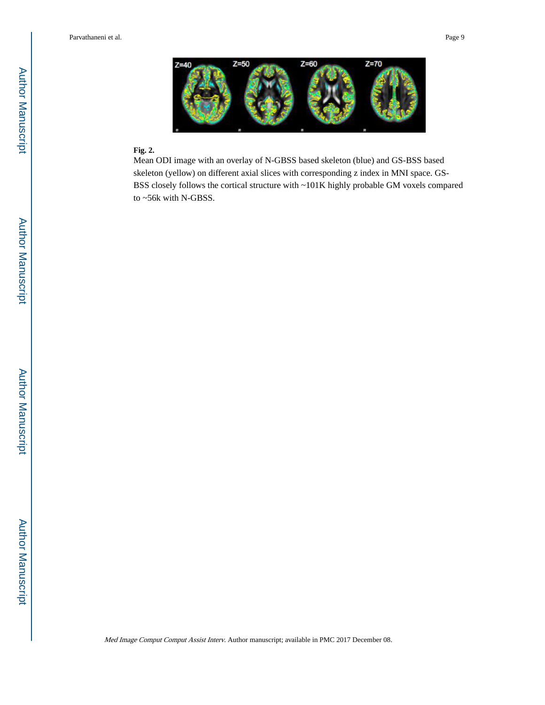

#### **Fig. 2.**

Mean ODI image with an overlay of N-GBSS based skeleton (blue) and GS-BSS based skeleton (yellow) on different axial slices with corresponding z index in MNI space. GS-BSS closely follows the cortical structure with ~101K highly probable GM voxels compared to ~56k with N-GBSS.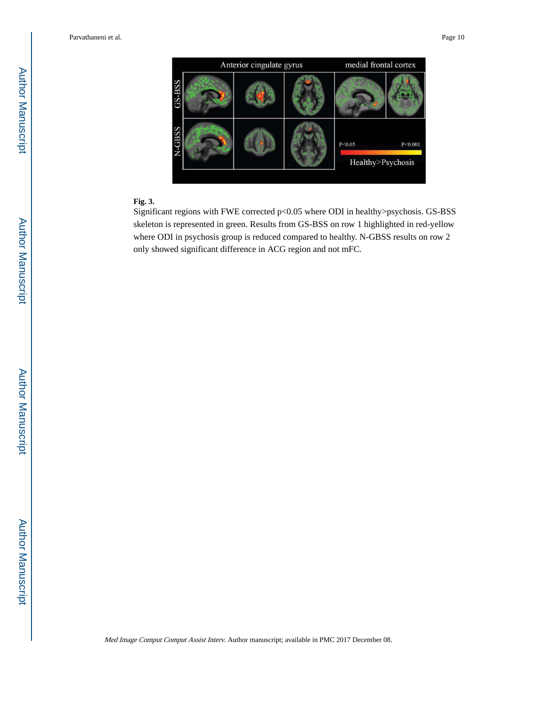

# **Fig. 3.**

Significant regions with FWE corrected p<0.05 where ODI in healthy>psychosis. GS-BSS skeleton is represented in green. Results from GS-BSS on row 1 highlighted in red-yellow where ODI in psychosis group is reduced compared to healthy. N-GBSS results on row 2 only showed significant difference in ACG region and not mFC.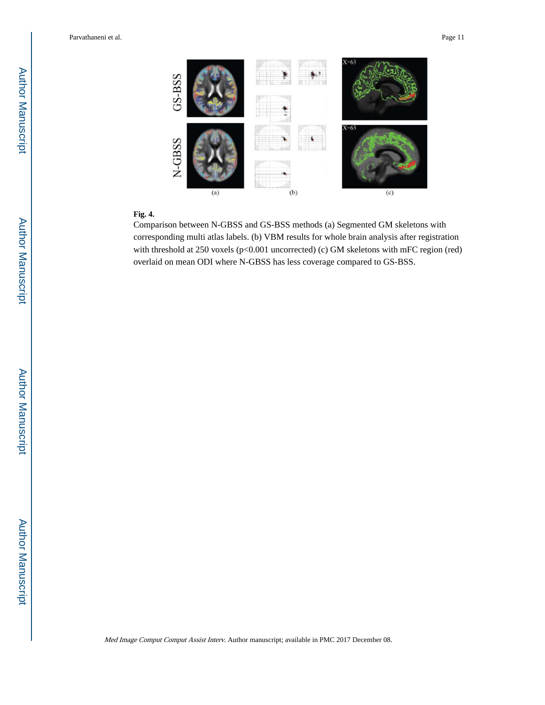

#### **Fig. 4.**

Comparison between N-GBSS and GS-BSS methods (a) Segmented GM skeletons with corresponding multi atlas labels. (b) VBM results for whole brain analysis after registration with threshold at 250 voxels (p<0.001 uncorrected) (c) GM skeletons with mFC region (red) overlaid on mean ODI where N-GBSS has less coverage compared to GS-BSS.